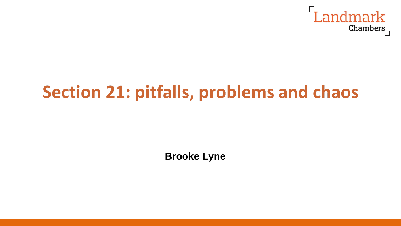

# **Section 21: pitfalls, problems and chaos**

**Brooke Lyne**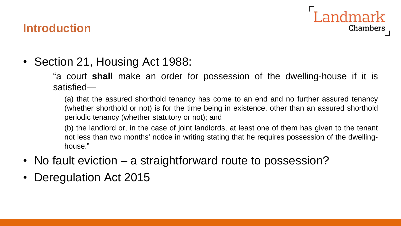#### **Introduction**

Landmark Chambers

• Section 21, Housing Act 1988:

"a court **shall** make an order for possession of the dwelling-house if it is satisfied—

(a) that the assured shorthold tenancy has come to an end and no further assured tenancy (whether shorthold or not) is for the time being in existence, other than an assured shorthold periodic tenancy (whether statutory or not); and

(b) the landlord or, in the case of joint landlords, at least one of them has given to the tenant not less than two months' notice in writing stating that he requires possession of the dwellinghouse."

- No fault eviction a straightforward route to possession?
- Deregulation Act 2015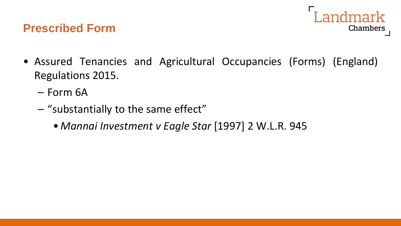#### **Prescribed Form**



- Assured Tenancies and Agricultural Occupancies (Forms) (England) Regulations 2015.
	- Form 6A
	- "substantially to the same effect"
		- *Mannai Investment v Eagle Star* [1997] 2 W.L.R. 945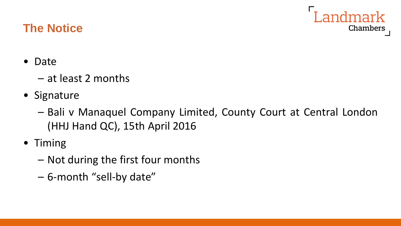# **The Notice**



- Date
	- at least 2 months
- Signature
	- Bali v Manaquel Company Limited, County Court at Central London (HHJ Hand QC), 15th April 2016
- Timing
	- Not during the first four months
	- 6-month "sell-by date"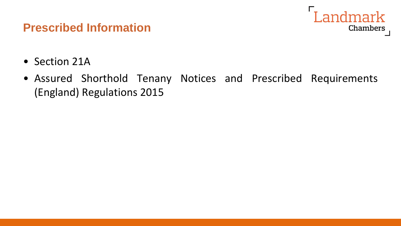

- Section 21A
- Assured Shorthold Tenany Notices and Prescribed Requirements (England) Regulations 2015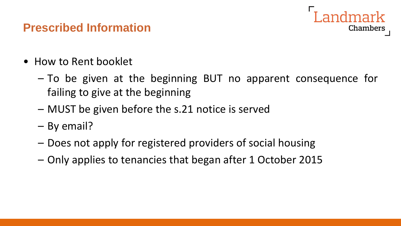- How to Rent booklet
	- To be given at the beginning BUT no apparent consequence for failing to give at the beginning

Chambers

- MUST be given before the s.21 notice is served
- By email?
- Does not apply for registered providers of social housing
- Only applies to tenancies that began after 1 October 2015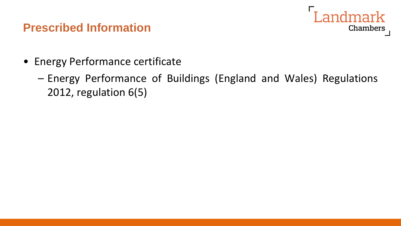

- Energy Performance certificate
	- Energy Performance of Buildings (England and Wales) Regulations 2012, regulation 6(5)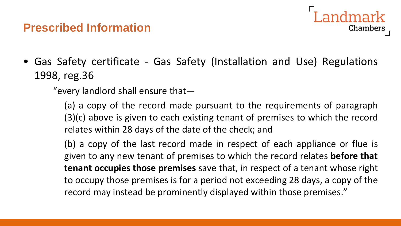

• Gas Safety certificate - Gas Safety (Installation and Use) Regulations 1998, reg.36

"every landlord shall ensure that—

(a) a copy of the record made pursuant to the requirements of paragraph (3)(c) above is given to each existing tenant of premises to which the record relates within 28 days of the date of the check; and

(b) a copy of the last record made in respect of each appliance or flue is given to any new tenant of premises to which the record relates **before that tenant occupies those premises** save that, in respect of a tenant whose right to occupy those premises is for a period not exceeding 28 days, a copy of the record may instead be prominently displayed within those premises."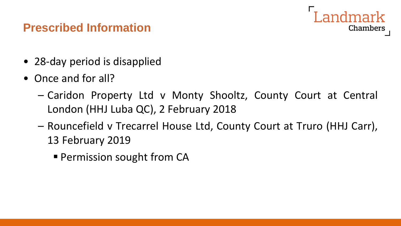

- 28-day period is disapplied
- Once and for all?
	- Caridon Property Ltd v Monty Shooltz, County Court at Central London (HHJ Luba QC), 2 February 2018
	- Rouncefield v Trecarrel House Ltd, County Court at Truro (HHJ Carr), 13 February 2019
		- **Permission sought from CA**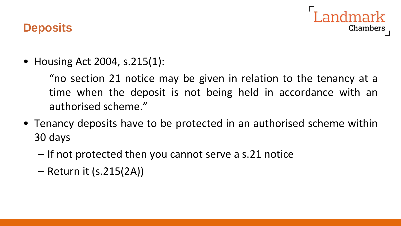

#### **Deposits**

• Housing Act 2004, s.215(1):

"no section 21 notice may be given in relation to the tenancy at a time when the deposit is not being held in accordance with an authorised scheme."

- Tenancy deposits have to be protected in an authorised scheme within 30 days
	- If not protected then you cannot serve a s.21 notice
	- Return it (s.215(2A))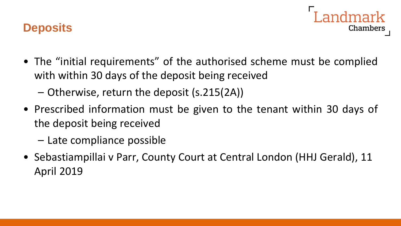### **Deposits**

- Chambers
- The "initial requirements" of the authorised scheme must be complied with within 30 days of the deposit being received
	- Otherwise, return the deposit (s.215(2A))
- Prescribed information must be given to the tenant within 30 days of the deposit being received
	- Late compliance possible
- Sebastiampillai v Parr, County Court at Central London (HHJ Gerald), 11 April 2019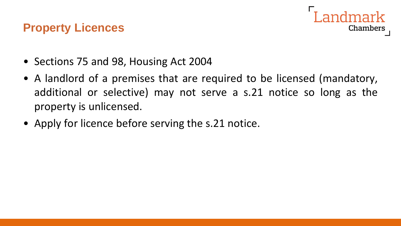### **Property Licences**



- Sections 75 and 98, Housing Act 2004
- A landlord of a premises that are required to be licensed (mandatory, additional or selective) may not serve a s.21 notice so long as the property is unlicensed.
- Apply for licence before serving the s.21 notice.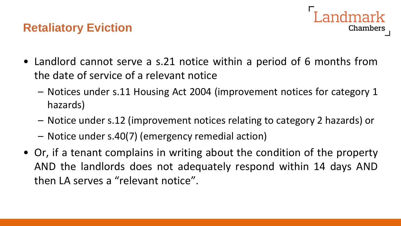# **Retaliatory Eviction**



- Landlord cannot serve a s.21 notice within a period of 6 months from the date of service of a relevant notice
	- Notices under s.11 Housing Act 2004 (improvement notices for category 1 hazards)
	- Notice under s.12 (improvement notices relating to category 2 hazards) or
	- Notice under s.40(7) (emergency remedial action)
- Or, if a tenant complains in writing about the condition of the property AND the landlords does not adequately respond within 14 days AND then LA serves a "relevant notice".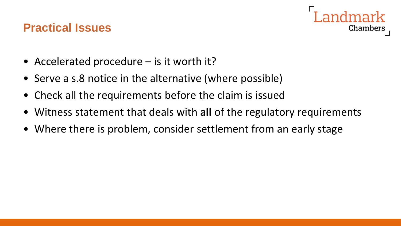#### **Practical Issues**



- Accelerated procedure is it worth it?
- Serve a s.8 notice in the alternative (where possible)
- Check all the requirements before the claim is issued
- Witness statement that deals with **all** of the regulatory requirements
- Where there is problem, consider settlement from an early stage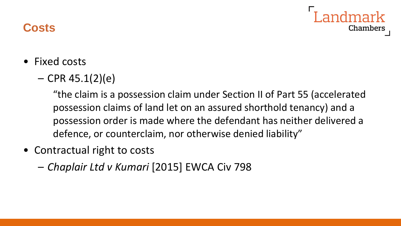# Chambers

# **Costs**

- Fixed costs
	- $-$  CPR 45.1(2)(e)

"the claim is a possession claim under Section II of Part 55 (accelerated possession claims of land let on an assured shorthold tenancy) and a possession order is made where the defendant has neither delivered a defence, or counterclaim, nor otherwise denied liability"

- Contractual right to costs
	- *Chaplair Ltd v Kumari* [2015] EWCA Civ 798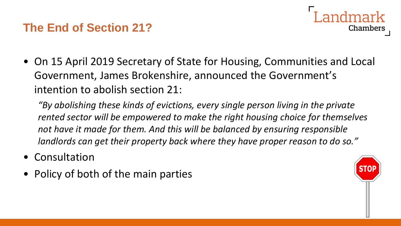# **The End of Section 21?**



• On 15 April 2019 Secretary of State for Housing, Communities and Local Government, James Brokenshire, announced the Government's intention to abolish section 21:

*"By abolishing these kinds of evictions, every single person living in the private rented sector will be empowered to make the right housing choice for themselves not have it made for them. And this will be balanced by ensuring responsible landlords can get their property back where they have proper reason to do so."*

- Consultation
- Policy of both of the main parties